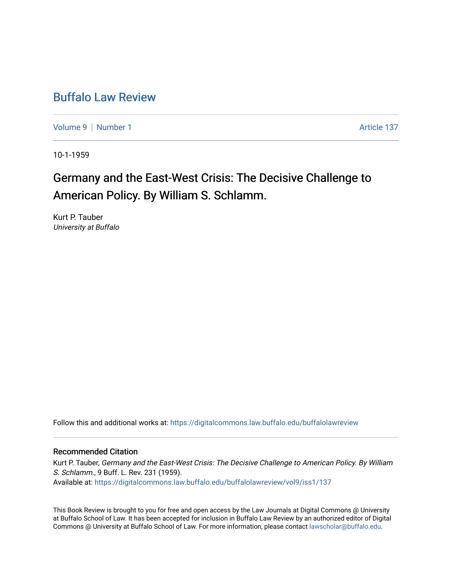## [Buffalo Law Review](https://digitalcommons.law.buffalo.edu/buffalolawreview)

[Volume 9](https://digitalcommons.law.buffalo.edu/buffalolawreview/vol9) | [Number 1](https://digitalcommons.law.buffalo.edu/buffalolawreview/vol9/iss1) Article 137

10-1-1959

# Germany and the East-West Crisis: The Decisive Challenge to American Policy. By William S. Schlamm.

Kurt P. Tauber University at Buffalo

Follow this and additional works at: [https://digitalcommons.law.buffalo.edu/buffalolawreview](https://digitalcommons.law.buffalo.edu/buffalolawreview?utm_source=digitalcommons.law.buffalo.edu%2Fbuffalolawreview%2Fvol9%2Fiss1%2F137&utm_medium=PDF&utm_campaign=PDFCoverPages) 

### Recommended Citation

Kurt P. Tauber, Germany and the East-West Crisis: The Decisive Challenge to American Policy. By William S. Schlamm., 9 Buff. L. Rev. 231 (1959). Available at: [https://digitalcommons.law.buffalo.edu/buffalolawreview/vol9/iss1/137](https://digitalcommons.law.buffalo.edu/buffalolawreview/vol9/iss1/137?utm_source=digitalcommons.law.buffalo.edu%2Fbuffalolawreview%2Fvol9%2Fiss1%2F137&utm_medium=PDF&utm_campaign=PDFCoverPages)

This Book Review is brought to you for free and open access by the Law Journals at Digital Commons @ University at Buffalo School of Law. It has been accepted for inclusion in Buffalo Law Review by an authorized editor of Digital Commons @ University at Buffalo School of Law. For more information, please contact [lawscholar@buffalo.edu](mailto:lawscholar@buffalo.edu).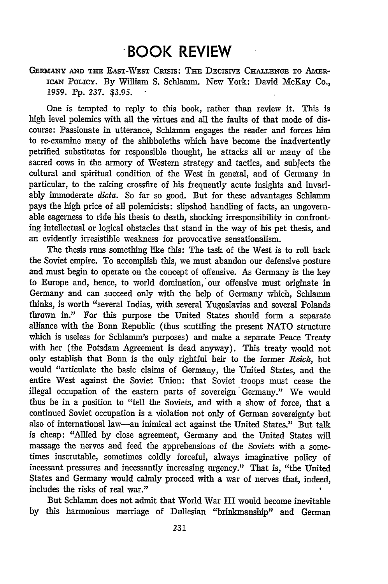## **.BOOK REVIEW**

**GEnmANY AND THE** EAST-WEST CRisis: THE DECISIVE CHALLENGE TO AmERiCAN PoLIcY. By William S. Schamm. New York: David McKay Co., **1959. Pp. 237. \$3.95.**

One is tempted to reply to this book, rather than review it. This is high level polemics with all the virtues and all the faults of that mode of discourse: Passionate in utterance, Schlamm engages the reader and forces him to re-examine many of the shibboleths which have become the inadvertently petrified substitutes for responsible thought, he attacks all or many of the sacred cows in the armory of Western strategy and tactics, and subjects the cultural and spiritual condition of the West in general, and of Germany in particular, to the raking crossfire of his frequently acute insights and invariably immoderate *dicta.* So far so good. But for these advantages Schlamm pays the high price of all polemicists: slipshod handling of facts, an ungovernable eagerness to ride his thesis to death, shocking irresponsibility in confronting intellectual or logical obstacles that stand in the way of his pet thesis, and an evidently irresistible weakness for provocative sensationalism.

The thesis runs something like this: The task of the West is to roll back the Soviet empire. To accomplish this, we must abandon our defensive posture and must begin to operate on the concept of offensive. As Germany is the key to Europe and, hence, to world domination, 'our offensive must originate in Germany and can succeed only with the help of Germany which, Schlamm thinks, is worth "several Indias, with several Yugoslavias and several Polands thrown in." For this purpose the United States should form a separate alliance with the Bonn Republic (thus scuttling the present NATO structure which is useless for Schlamm's purposes) and make a separate Peace Treaty with her (the Potsdam Agreement is dead anyway). This treaty would not only establish that Bonn is the only rightful heir to the former *Reich,* but would "articulate the basic claims of Germany, the United States, and the entire West against the Soviet Union: that Soviet troops must cease the illegal occupation of the eastern parts of sovereign' Germany." We would thus be in a position to "tell the Soviets, and with a show of force, that a continued Soviet occupation is a violation not only of German sovereignty but also of international law-an inimical act against the United States." But talk is cheap: "Allied by close agreement, Germany and the United States will massage the nerves and feed the apprehensions of the Soviets with a sometimes inscrutable, sometimes coldly forceful, always imaginative policy of incessant pressures and incessantly increasing urgency." That is, "the United States and Germany would calmly proceed with a war of nerves that, indeed, includes the risks of real war."

But Schlamm does not admit that World War III would become inevitable by this harmonious marriage of Dullesian "brinkmanship" and German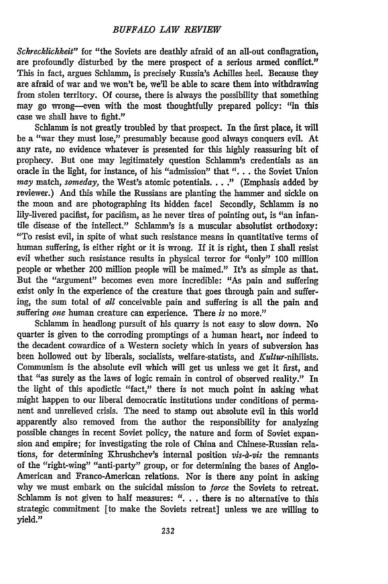#### *BUFFALO LAW REVIEW*

*Schrecklichkeit"* for "the Soviets are deathly afraid of an all-out conflagration, are profoundly disturbed by the mere prospect of a serious armed conflict." This in fact, argues Schlamm, is precisely Russia's Achilles heel. Because they are afraid of war and we won't be, we'll be able to scare them into withdrawing from stolen territory. Of course, there is always the possibility that something may go wrong-even with the most thoughtfully prepared policy: "in this case we shall have to fight."

Schlamm is not greatly troubled by that prospect. In the first place, it will be a "war they must lose," presumably because good always conquers evil. At any rate, no evidence whatever is presented for this highly reassuring bit of prophecy. But one may legitimately question Schlamm's credentials as an oracle in the light, for instance, of his "admission" that *"...* . the Soviet Union *may* match, *someday,* the West's atomic potentials .... " (Emphasis added by reviewer.) And this while the Russians are planting the hammer and sickle on the moon and are photographing its hidden facel Secondly, Schlamm is no lily-livered pacifist, for pacifism, as he never tires of pointing out, is "an infantile disease of the intellect." Schlamm's is a muscular absolutist orthodoxy "To resist evil, in spite of what such resistance means in quantitative terms of human suffering, is either right or it is wrong. If it is right, then I shall resist evil whether such resistance results in physical terror for "only" 100 million people or whether 200 million people will be maimed." It's as simple as that. But the "argument" becomes even more incredible: "As pain and suffering exist only in the experience of the creature that goes through pain and suffering, the sum total of *all* conceivable pain and suffering is all the pain and suffering *one* human creature can experience. There *is* no more."

Schlamm in headlong pursuit of his quarry is not easy to slow down. No quarter is given to the corroding promptings of a human heart, nor indeed to the decadent cowardice of a Western society which in years of subversion has been hollowed out by liberals, socialists, welfare-statists, and *Kultur-nihilists.* Communism is the absolute evil which will get us unless we get it first, and that "as surely as the laws of logic remain in control of observed reality." In the light of this apodictic "fact," there is not much point in asking what might happen to our liberal democratic institutions under conditions of permanent and unrelieved crisis. The need to stamp out absolute evil in this world apparently also removed from the author the responsibility for analyzing possible changes in recent Soviet policy, the nature and form of Soviet expansion and empire; for investigating the role of China and Chinese-Russian relations, for determining Khrushchev's internal position *vis-a-vis* the remnants of the "right-wing" "anti-party" group, or for determining the bases of Anglo-American and Franco-American relations. Nor is there any point in asking why we must embark on the suicidal mission to *force* the Soviets to retreat. Schlamm is not given to half measures: ". **.** . there is no alternative to this strategic commitment [to make the Soviets retreat] unless we are willing to yield."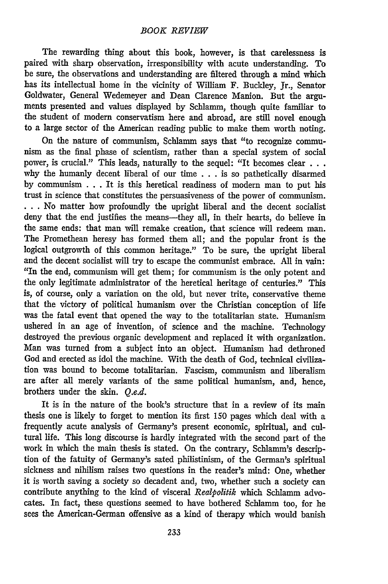The rewarding thing about this book, however, is that carelessness is paired with sharp observation, irresponsibility with acute understanding. To be sure, the observations and understanding are filtered through a mind which has its intellectual home in the vicinity of William F. Buckley, Jr., Senator Goldwater, General Wedemeyer and Dean Clarence Manion. But the arguments presented and values displayed by Schlamm, though quite familiar to the student of modern conservatism here and abroad, are still novel enough to a large sector of the American reading public to make them worth noting.

On the nature of communism, Schlamm says that "to recognize communism as the final phase of scientism, rather than a special system of social power, is crucial." This leads, naturally to the sequel: "It becomes clear **. . .** why the humanly decent liberal of our time . . . is so pathetically disarmed by communism . . . It is this heretical readiness of modern man to put his trust in science that constitutes the persuasiveness of the power of communism. **. . .** No matter how profoundly the upright liberal and the decent socialist deny that the end justifies the means-they all, in their hearts, do believe in the same ends: that man will remake creation, that science will redeem man. The Promethean heresy has formed them all; and the popular front is the logical outgrowth of this common heritage." To be sure, the upright liberal and the decent socialist will try to escape the communist embrace. All in vain: "In the end, communism will get them; for communism is the only potent and the only legitimate administrator of the heretical heritage of centuries." This is, of course, only a variation on the old, but never trite, conservative theme that the victory of political humanism over the Christian conception of life was the fatal event that opened the way to the totalitarian state. Humanism ushered in an age of invention, of science and the machine. Technology destroyed the previous organic development and replaced it with organization. Man was turned from a subject into an object. Humanism had dethroned God and erected as idol the machine. With the death of God, technical civilization was bound to become totalitarian. Fascism, communism and liberalism are after all merely variants of the same political humanism, and, hence, brothers under the skin. *Q.e.d.*

It is in the nature of the book's structure that in a review of its main thesis one is likely to forget to mention its first **150** pages which deal with a frequently acute analysis of Germany's present economic, spiritual, and cultural life. This long discourse is hardly integrated with the second part of the work in which the main thesis is stated. On the contrary, Schlamm's description of the fatuity of Germany's sated philistinism, of the German's spiritual sickness and nihilism raises two questions in the reader's mind: One, whether it is worth saving a society so decadent and, two, whether such a society can contribute anything to the kind of visceral *Realpolitik* which Schlamm advocates. In fact, these questions seemed to have bothered Schlamm too, for he sees the American-German offensive as a kind of therapy which would banish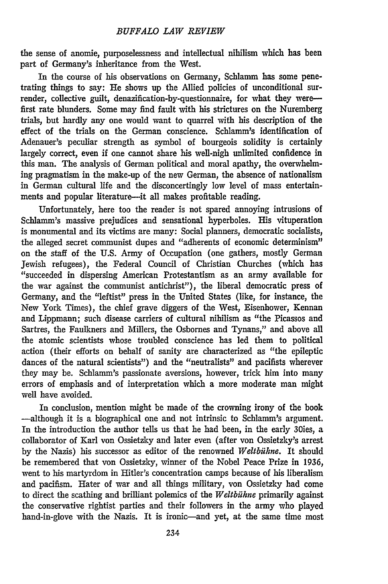the sense of anomie, purposelessness and intellectual nihilism which has been part of Germany's inheritance from the West.

In the course of his observations on Germany, Schlamm has some penetrating things to say: He shows up the Allied policies of unconditional surrender, collective guilt, denazification-by-questionnaire, for what they werefirst rate blunders. Some may find fault with his strictures on the Nuremberg trials, but hardly any one would want to quarrel with his description of the effect of the trials on the German conscience. Schlamm's identification of Adenauer's peculiar strength as symbol of bourgeois solidity is certainly largely correct, even if one cannot share his well-nigh unlimited confidence in this man. The analysis of German political and moral apathy, the overwhelming pragmatism in the make-up of the new German, the absence of nationalism in German cultural life and the disconcertingly low level of mass entertainments and popular literature---it all makes profitable reading.

Unfortunately, here too the reader is not spared annoying intrusions of Schlamm's massive prejudices and sensational hyperboles. His vituperation is monumental and its victims are many: Social planners, democratic socialists, the alleged secret communist dupes and "adherents of economic determinism" on the staff of the U.S. Army of Occupation (one gathers, mostly German Jewish refugees), the Federal Council of Christian Churches (which has "succeeded in dispersing American Protestantism as an army available for the war against the communist antichrist"), the liberal democratic press of Germany, and the "leftist" press in the United States (like, for instance, the New York Times), the chief grave diggers of the West, Eisenhower, Kennan and Lippmann; such disease carriers of cultural nihilism as "the Picassos and Sartres, the Faulkners and Millers, the Osbornes and Tynans," and above all the atomic scientists whose troubled conscience has led them to political action (their efforts on behalf of sanity are characterized as "the epileptic dances of the natural scientists") and the "neutralists" and pacifists wherever they may be. Schlamm's passionate aversions, however, trick him into many errors of emphasis and of interpretation which a more moderate man might well have avoided.

In conclusion, mention might be made of the crowning irony of the book -although it is a biographical one and not intrinsic to Schlamm's argument. In the introduction the author tells us that he had been, in the early 30ies, a collaborator of Karl von Ossietzky and later even (after von Ossietzky's arrest by the Nazis) his successor as editor of the renowned *Weltbilhne.* It should be remembered that von Ossietzky, winner of the Nobel Peace Prize in **1936,** went to his martyrdom in Hitler's concentration camps because of his liberalism and pacifism. Hater of war and all things military, von Ossietzky bad come to direct the scathing and brilliant polemics of the *Weltbühne* primarily against the conservative rightist parties and their followers in the army who played hand-in-glove with the Nazis. It is ironic-and yet, at the same time most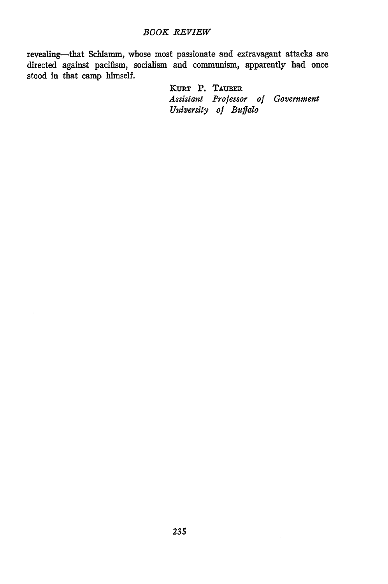#### *BOOK REVIEW*

revealing-that Schlamm, whose most passionate and extravagant attacks are directed against pacifism, socialism and communism, apparently had once stood in that camp himself.

> **KURT** P. **TAUBER** *Assistant Professor of Government University of Buffalo*